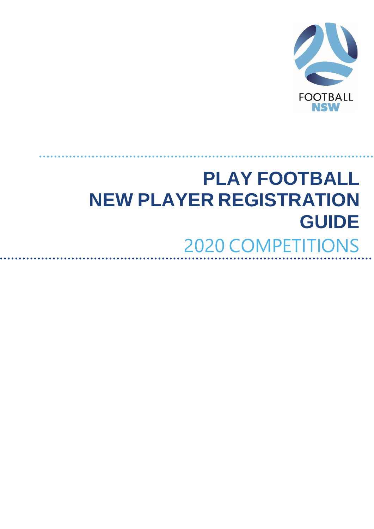

# **PLAY FOOTBALL NEW PLAYER REGISTRATION GUIDE** 2020 COMPETITIONS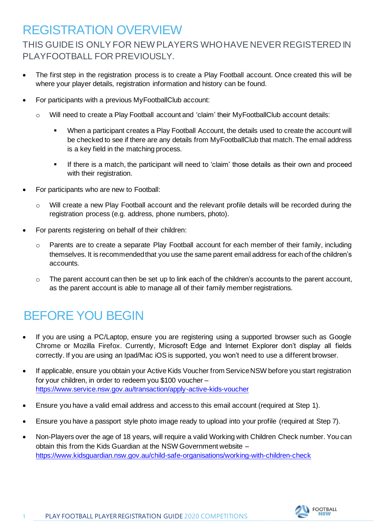#### REGISTRATION OVERVIEW

THIS GUIDE IS ONLY FOR NEW PLAYERS WHO HAVE NEVER REGISTERED IN PLAYFOOTBALL FOR PREVIOUSLY.

- The first step in the registration process is to create a Play Football account. Once created this will be where your player details, registration information and history can be found.
- For participants with a previous MyFootballClub account:
	- o Will need to create a Play Football account and 'claim' their MyFootballClub account details:
		- When a participant creates a Play Football Account, the details used to create the account will be checked to see if there are any details from MyFootballClub that match. The email address is a key field in the matching process.
		- If there is a match, the participant will need to 'claim' those details as their own and proceed with their registration.
- For participants who are new to Football:
	- o Will create a new Play Football account and the relevant profile details will be recorded during the registration process (e.g. address, phone numbers, photo).
- For parents registering on behalf of their children:
	- $\circ$  Parents are to create a separate Play Football account for each member of their family, including themselves. It is recommended that you use the same parent email address for each of the children's accounts.
	- $\circ$  The parent account can then be set up to link each of the children's accounts to the parent account, as the parent account is able to manage all of their family member registrations.

# BEFORE YOU BEGIN

- If you are using a PC/Laptop, ensure you are registering using a supported browser such as Google Chrome or Mozilla Firefox. Currently, Microsoft Edge and Internet Explorer don't display all fields correctly. If you are using an Ipad/Mac iOS is supported, you won't need to use a different browser.
- If applicable, ensure you obtain your Active Kids Voucher from Service NSW before you start registration for your children, in order to redeem you \$100 voucher – https://www.service.nsw.gov.au/transaction/apply-active-kids-voucher
- Ensure you have a valid email address and access to this email account (required at Step 1).
- Ensure you have a passport style photo image ready to upload into your profile (required at Step 7).
- Non-Players over the age of 18 years, will require a valid Working with Children Check number. You can obtain this from the Kids Guardian at the NSW Government website – <https://www.kidsguardian.nsw.gov.au/child-safe-organisations/working-with-children-check>

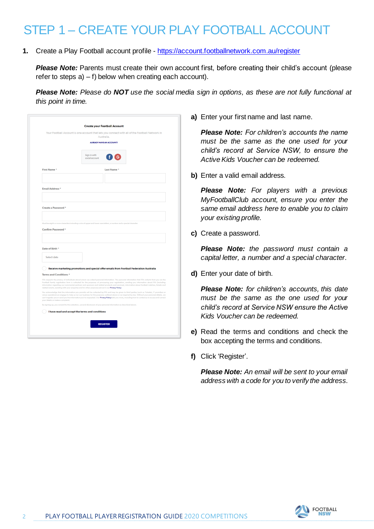# STEP 1 – CREATE YOUR PLAY FOOTBALL ACCOUNT

**1.** Create a Play Football account profile - <https://account.footballnetwork.com.au/register>

**Please Note:** Parents must create their own account first, before creating their child's account (please refer to steps  $a$ ) – f) below when creating each account).

*Please Note: Please do NOT use the social media sign in options, as these are not fully functional at this point in time.*

| Australia.<br><b>ALREADY HAVE AN ACCOUNT?</b><br>Sign in with<br>social account<br>Last Name*<br>Must be eight or more characters including a mix of upper and lower case letters, a number and a special character<br>Confirm Password *<br>Select date<br>Receive marketing promotions and special offer emails from Football Federation Australia<br>FFA respects the privacy of individuals about whom we collect personal information. The personal information that FFA collects from you via the<br>Football Family registration form is collected for the purposes of processing your registration, sending you information about FFA (including<br>information regarding our commercial partners and sponsors and related products and services), information about football matches, tickets and<br>related events, assisting with your enquiries and for other purposes set out in our Privacy Policy.<br>You acknowledge that the information you provide will be collected by FFA and may be given to third parties (such as Ticketek, IT providers or<br>venue operators) we engage to help us run our business for the purposes outlined above or as required by law. Without your personal details, we<br>can't register you or send you the information you've requested. Our Privacy Policy tells you more, including how to contact us to access and correct<br>By signing up, you consent to the collection, use and disclosure of your personal information as described above.<br>I have read and accept the terms and conditions |                                                             | Your Football Account is one account that lets you connect with all of the Football Network in |
|---------------------------------------------------------------------------------------------------------------------------------------------------------------------------------------------------------------------------------------------------------------------------------------------------------------------------------------------------------------------------------------------------------------------------------------------------------------------------------------------------------------------------------------------------------------------------------------------------------------------------------------------------------------------------------------------------------------------------------------------------------------------------------------------------------------------------------------------------------------------------------------------------------------------------------------------------------------------------------------------------------------------------------------------------------------------------------------------------------------------------------------------------------------------------------------------------------------------------------------------------------------------------------------------------------------------------------------------------------------------------------------------------------------------------------------------------------------------------------------------------------------------------------------------------------|-------------------------------------------------------------|------------------------------------------------------------------------------------------------|
|                                                                                                                                                                                                                                                                                                                                                                                                                                                                                                                                                                                                                                                                                                                                                                                                                                                                                                                                                                                                                                                                                                                                                                                                                                                                                                                                                                                                                                                                                                                                                         |                                                             |                                                                                                |
|                                                                                                                                                                                                                                                                                                                                                                                                                                                                                                                                                                                                                                                                                                                                                                                                                                                                                                                                                                                                                                                                                                                                                                                                                                                                                                                                                                                                                                                                                                                                                         |                                                             |                                                                                                |
|                                                                                                                                                                                                                                                                                                                                                                                                                                                                                                                                                                                                                                                                                                                                                                                                                                                                                                                                                                                                                                                                                                                                                                                                                                                                                                                                                                                                                                                                                                                                                         |                                                             |                                                                                                |
|                                                                                                                                                                                                                                                                                                                                                                                                                                                                                                                                                                                                                                                                                                                                                                                                                                                                                                                                                                                                                                                                                                                                                                                                                                                                                                                                                                                                                                                                                                                                                         | First Name*                                                 |                                                                                                |
|                                                                                                                                                                                                                                                                                                                                                                                                                                                                                                                                                                                                                                                                                                                                                                                                                                                                                                                                                                                                                                                                                                                                                                                                                                                                                                                                                                                                                                                                                                                                                         |                                                             |                                                                                                |
|                                                                                                                                                                                                                                                                                                                                                                                                                                                                                                                                                                                                                                                                                                                                                                                                                                                                                                                                                                                                                                                                                                                                                                                                                                                                                                                                                                                                                                                                                                                                                         |                                                             |                                                                                                |
|                                                                                                                                                                                                                                                                                                                                                                                                                                                                                                                                                                                                                                                                                                                                                                                                                                                                                                                                                                                                                                                                                                                                                                                                                                                                                                                                                                                                                                                                                                                                                         | Email Address *                                             |                                                                                                |
|                                                                                                                                                                                                                                                                                                                                                                                                                                                                                                                                                                                                                                                                                                                                                                                                                                                                                                                                                                                                                                                                                                                                                                                                                                                                                                                                                                                                                                                                                                                                                         |                                                             |                                                                                                |
|                                                                                                                                                                                                                                                                                                                                                                                                                                                                                                                                                                                                                                                                                                                                                                                                                                                                                                                                                                                                                                                                                                                                                                                                                                                                                                                                                                                                                                                                                                                                                         |                                                             |                                                                                                |
|                                                                                                                                                                                                                                                                                                                                                                                                                                                                                                                                                                                                                                                                                                                                                                                                                                                                                                                                                                                                                                                                                                                                                                                                                                                                                                                                                                                                                                                                                                                                                         | Create a Password *                                         |                                                                                                |
|                                                                                                                                                                                                                                                                                                                                                                                                                                                                                                                                                                                                                                                                                                                                                                                                                                                                                                                                                                                                                                                                                                                                                                                                                                                                                                                                                                                                                                                                                                                                                         |                                                             |                                                                                                |
|                                                                                                                                                                                                                                                                                                                                                                                                                                                                                                                                                                                                                                                                                                                                                                                                                                                                                                                                                                                                                                                                                                                                                                                                                                                                                                                                                                                                                                                                                                                                                         |                                                             |                                                                                                |
|                                                                                                                                                                                                                                                                                                                                                                                                                                                                                                                                                                                                                                                                                                                                                                                                                                                                                                                                                                                                                                                                                                                                                                                                                                                                                                                                                                                                                                                                                                                                                         |                                                             |                                                                                                |
|                                                                                                                                                                                                                                                                                                                                                                                                                                                                                                                                                                                                                                                                                                                                                                                                                                                                                                                                                                                                                                                                                                                                                                                                                                                                                                                                                                                                                                                                                                                                                         |                                                             |                                                                                                |
|                                                                                                                                                                                                                                                                                                                                                                                                                                                                                                                                                                                                                                                                                                                                                                                                                                                                                                                                                                                                                                                                                                                                                                                                                                                                                                                                                                                                                                                                                                                                                         |                                                             |                                                                                                |
|                                                                                                                                                                                                                                                                                                                                                                                                                                                                                                                                                                                                                                                                                                                                                                                                                                                                                                                                                                                                                                                                                                                                                                                                                                                                                                                                                                                                                                                                                                                                                         |                                                             |                                                                                                |
|                                                                                                                                                                                                                                                                                                                                                                                                                                                                                                                                                                                                                                                                                                                                                                                                                                                                                                                                                                                                                                                                                                                                                                                                                                                                                                                                                                                                                                                                                                                                                         |                                                             |                                                                                                |
|                                                                                                                                                                                                                                                                                                                                                                                                                                                                                                                                                                                                                                                                                                                                                                                                                                                                                                                                                                                                                                                                                                                                                                                                                                                                                                                                                                                                                                                                                                                                                         | Date of Birth *                                             |                                                                                                |
|                                                                                                                                                                                                                                                                                                                                                                                                                                                                                                                                                                                                                                                                                                                                                                                                                                                                                                                                                                                                                                                                                                                                                                                                                                                                                                                                                                                                                                                                                                                                                         |                                                             |                                                                                                |
|                                                                                                                                                                                                                                                                                                                                                                                                                                                                                                                                                                                                                                                                                                                                                                                                                                                                                                                                                                                                                                                                                                                                                                                                                                                                                                                                                                                                                                                                                                                                                         |                                                             |                                                                                                |
|                                                                                                                                                                                                                                                                                                                                                                                                                                                                                                                                                                                                                                                                                                                                                                                                                                                                                                                                                                                                                                                                                                                                                                                                                                                                                                                                                                                                                                                                                                                                                         |                                                             |                                                                                                |
|                                                                                                                                                                                                                                                                                                                                                                                                                                                                                                                                                                                                                                                                                                                                                                                                                                                                                                                                                                                                                                                                                                                                                                                                                                                                                                                                                                                                                                                                                                                                                         |                                                             |                                                                                                |
|                                                                                                                                                                                                                                                                                                                                                                                                                                                                                                                                                                                                                                                                                                                                                                                                                                                                                                                                                                                                                                                                                                                                                                                                                                                                                                                                                                                                                                                                                                                                                         |                                                             |                                                                                                |
|                                                                                                                                                                                                                                                                                                                                                                                                                                                                                                                                                                                                                                                                                                                                                                                                                                                                                                                                                                                                                                                                                                                                                                                                                                                                                                                                                                                                                                                                                                                                                         |                                                             |                                                                                                |
|                                                                                                                                                                                                                                                                                                                                                                                                                                                                                                                                                                                                                                                                                                                                                                                                                                                                                                                                                                                                                                                                                                                                                                                                                                                                                                                                                                                                                                                                                                                                                         |                                                             |                                                                                                |
|                                                                                                                                                                                                                                                                                                                                                                                                                                                                                                                                                                                                                                                                                                                                                                                                                                                                                                                                                                                                                                                                                                                                                                                                                                                                                                                                                                                                                                                                                                                                                         |                                                             |                                                                                                |
|                                                                                                                                                                                                                                                                                                                                                                                                                                                                                                                                                                                                                                                                                                                                                                                                                                                                                                                                                                                                                                                                                                                                                                                                                                                                                                                                                                                                                                                                                                                                                         |                                                             |                                                                                                |
|                                                                                                                                                                                                                                                                                                                                                                                                                                                                                                                                                                                                                                                                                                                                                                                                                                                                                                                                                                                                                                                                                                                                                                                                                                                                                                                                                                                                                                                                                                                                                         |                                                             |                                                                                                |
|                                                                                                                                                                                                                                                                                                                                                                                                                                                                                                                                                                                                                                                                                                                                                                                                                                                                                                                                                                                                                                                                                                                                                                                                                                                                                                                                                                                                                                                                                                                                                         | Terms and Conditions *<br>your details or make a complaint. |                                                                                                |

**a)** Enter your first name and last name.

*Please Note: For children's accounts the name must be the same as the one used for your child's record at Service NSW, to ensure the Active Kids Voucher can be redeemed.*

**b)** Enter a valid email address.

*Please Note: For players with a previous MyFootballClub account, ensure you enter the same email address here to enable you to claim your existing profile.*

**c)** Create a password.

*Please Note: the password must contain a capital letter, a number and a special character.*

**d)** Enter your date of birth.

*Please Note: for children's accounts, this date must be the same as the one used for your child's record at Service NSW ensure the Active Kids Voucher can be redeemed.*

- **e)** Read the terms and conditions and check the box accepting the terms and conditions.
- **f)** Click 'Register'.

*Please Note: An email will be sent to your email address with a code for you to verify the address.*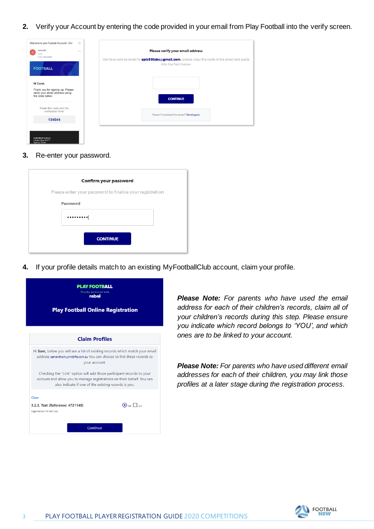**2.** Verify your Account by entering the code provided in your email from Play Football into the verify screen.

| accounts<br>to me                                                                      | $0.6 - 0.1$ | Please verify your email address                                                                                           |
|----------------------------------------------------------------------------------------|-------------|----------------------------------------------------------------------------------------------------------------------------|
| 8 Jan View details<br><b>FOOTBALL</b>                                                  |             | We have sent an email to <b>epic88labs@gmail.com</b> , please copy the code in the email and paste<br>into the field below |
| Hi Carol,                                                                              |             |                                                                                                                            |
| Thank you for signing up. Please<br>verify your email address using<br>the code below: |             | <b>CONTINUE</b>                                                                                                            |
| Paste this code into the<br>verification form:                                         |             | Haven't received the email? Send again                                                                                     |
| 134544                                                                                 |             |                                                                                                                            |

**3.** Re-enter your password.

|                 | <b>Confirm your password</b>                             |
|-----------------|----------------------------------------------------------|
|                 | Please enter your password to finalise your registration |
| <b>Password</b> |                                                          |
|                 |                                                          |
|                 |                                                          |
|                 | <b>CONTINUE</b>                                          |

**4.** If your profile details match to an existing MyFootballClub account, claim your profile.

| <b>PLAY FOOTBALL</b><br>Proudly partnered with<br>rebel<br><b>Play Football Online Registration</b>                                                                                                     |                                     |
|---------------------------------------------------------------------------------------------------------------------------------------------------------------------------------------------------------|-------------------------------------|
|                                                                                                                                                                                                         |                                     |
| <b>Claim Profiles</b>                                                                                                                                                                                   |                                     |
| Hi Sam, below you will see a list of existing records which match your email<br>address samantha.huynh@ffa.com.au You can choose to link these records to<br>your account.                              |                                     |
| Checking the "Link" option will add those participant records to your<br>account and allow you to manage registrations on their behalf. You can<br>also indicate if one of the existing records is you. |                                     |
| Clear<br>3.2.3, Test (Reference: 4721140)<br>Organisation: FFA Test Club                                                                                                                                | $\bigodot$ Me $\prod_{\text{link}}$ |
| Continue                                                                                                                                                                                                |                                     |

*Please Note: For parents who have used the email address for each of their children's records, claim all of your children's records during this step. Please ensure you indicate which record belongs to 'YOU', and which ones are to be linked to your account.*

*Please Note: For parents who have used different email addresses for each of their children, you may link those profiles at a later stage during the registration process.*

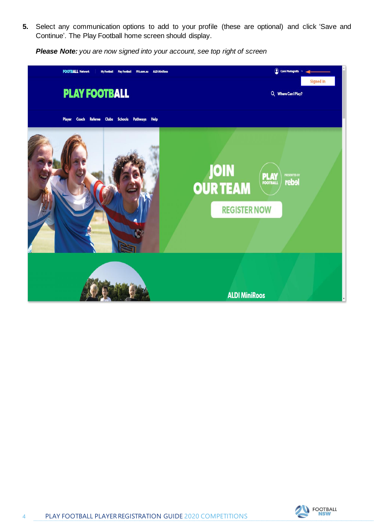**5.** Select any communication options to add to your profile (these are optional) and click 'Save and Continue'. The Play Football home screen should display.

*Please Note: you are now signed into your account, see top right of screen*



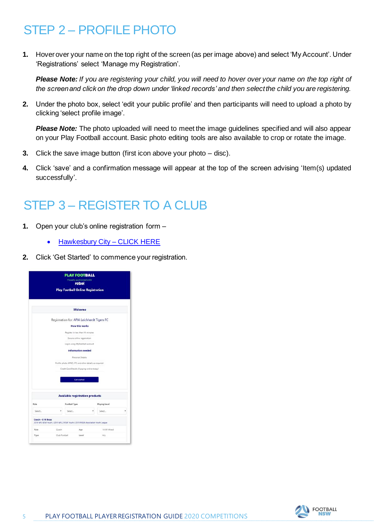# STEP 2 – PROFILE PHOTO

**1.** Hover over your name on the top right of the screen (as per image above) and select 'My Account'. Under 'Registrations' select 'Manage my Registration'.

*Please Note: If you are registering your child, you will need to hover over your name on the top right of the screen and click on the drop down under 'linked records' and then select the child you are registering.*

**2.** Under the photo box, select 'edit your public profile' and then participants will need to upload a photo by clicking 'select profile image'.

*Please Note:* The photo uploaded will need to meet the image guidelines specified and will also appear on your Play Football account. Basic photo editing tools are also available to crop or rotate the image.

- **3.** Click the save image button (first icon above your photo disc).
- **4.** Click 'save' and a confirmation message will appear at the top of the screen advising 'Item(s) updated successfully'.

### STEP 3 – REGISTER TO A CLUB

- **1.** Open your club's online registration form
	- [Hawkesbury City –](https://registration.playfootball.com.au/common/pages/reg/welcomeregplus.aspx?entityid=74685&id=72317) CLICK HERE
- **2.** Click 'Get Started' to commence your registration.

|                  |                                                                                | <b>PLAY FOOTBALL</b>                                  | <b>Proudly partnered with</b> |                      |  |
|------------------|--------------------------------------------------------------------------------|-------------------------------------------------------|-------------------------------|----------------------|--|
|                  |                                                                                |                                                       | rebel                         |                      |  |
|                  |                                                                                | <b>Play Football Online Registration</b>              |                               |                      |  |
|                  |                                                                                |                                                       | Welcome                       |                      |  |
|                  |                                                                                | Registration for: APIA Leichhardt Tigers FC           |                               |                      |  |
|                  |                                                                                |                                                       | <b>How this works</b>         |                      |  |
|                  |                                                                                | Register in less than 10 minutes                      |                               |                      |  |
|                  |                                                                                |                                                       | Secure online registration    |                      |  |
|                  |                                                                                | Login using MyFootball account                        |                               |                      |  |
|                  |                                                                                |                                                       | <b>Information needed</b>     |                      |  |
|                  |                                                                                |                                                       | Personal Details              |                      |  |
|                  |                                                                                | Profile photo. WWC, ITC and other details as required |                               |                      |  |
|                  |                                                                                | Credit Card Details (If poying online today)          |                               |                      |  |
|                  |                                                                                |                                                       |                               |                      |  |
|                  |                                                                                |                                                       | Get started                   |                      |  |
|                  |                                                                                |                                                       |                               |                      |  |
|                  |                                                                                | <b>Available registration products</b>                |                               |                      |  |
| Role             |                                                                                | Football Type                                         |                               | <b>Playing Level</b> |  |
| Select           |                                                                                | Salact.                                               |                               | Select               |  |
| Coach - U16 Boys | 2019 NPL NSW Youth / 2019 NPL 2 NSW Youth / 2019 FNSW Association Youth League |                                                       |                               |                      |  |
| Role             | Coach                                                                          |                                                       | Age                           | 16-99 Mixed          |  |
|                  |                                                                                | Club Football                                         |                               | ALL                  |  |

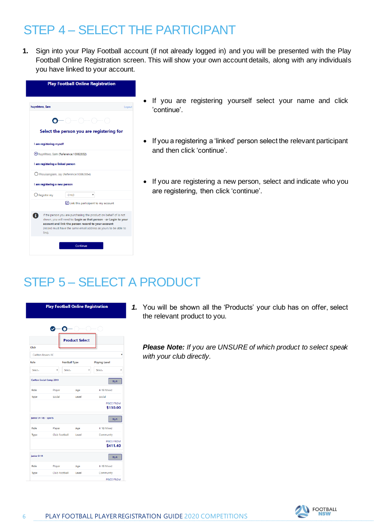#### STEP 4 – SELECT THE PARTICIPANT

**1.** Sign into your Play Football account (if not already logged in) and you will be presented with the Play Football Online Registration screen. This will show your own account details, along with any individuals you have linked to your account.

|                                     | <b>Play Football Online Registration</b>                                                                                                                                                                                                                      |        |
|-------------------------------------|---------------------------------------------------------------------------------------------------------------------------------------------------------------------------------------------------------------------------------------------------------------|--------|
| huynhtwo, Sam                       |                                                                                                                                                                                                                                                               | Logout |
|                                     |                                                                                                                                                                                                                                                               |        |
|                                     | Select the person you are registering for                                                                                                                                                                                                                     |        |
| I am registering myself             |                                                                                                                                                                                                                                                               |        |
| huunititum Tam (Reference:10062852) |                                                                                                                                                                                                                                                               |        |
| I am registering a linked person    |                                                                                                                                                                                                                                                               |        |
|                                     | O Meumangam, Jay (Reference: 10062854)                                                                                                                                                                                                                        |        |
| I am registering a new person       |                                                                                                                                                                                                                                                               |        |
| $\bigcirc$ Register my              | <b>CHILD</b>                                                                                                                                                                                                                                                  |        |
|                                     | ⊡ Link this participant to my account                                                                                                                                                                                                                         |        |
| link).                              | If the person you are purchasing the product on behalf of is not<br>shown, you will need to: Login as that person - or Login to your<br>account and link the person record to your account<br>(record must have the same email address as yours to be able to |        |
|                                     | Continue                                                                                                                                                                                                                                                      |        |

- If you are registering yourself select your name and click 'continue'.
- If you a registering a 'linked' person select the relevant participant and then click 'continue'.
- If you are registering a new person, select and indicate who you are registering, then click 'continue'.

# STEP 5 – SELECT A PRODUCT

|                          | О                    |                       |                        |
|--------------------------|----------------------|-----------------------|------------------------|
|                          |                      | <b>Product Select</b> |                        |
| Club                     |                      |                       |                        |
| Carlton Rovers FC        |                      |                       |                        |
| Role                     | <b>Football Type</b> |                       | <b>Playing Level</b>   |
| Select                   | Select               |                       | Select                 |
| Carlton Social Comp 2019 |                      |                       | N/A                    |
| Role                     | Player               | Age                   | 4-18 Mixed             |
| Type                     | Social               | Level                 | Social                 |
|                          |                      |                       | PRICE FROM<br>\$130.00 |
| junior (4-18) - sports   |                      |                       | N/A                    |
| Role                     | Player               | Age                   | 4-18 Mixed             |
| Type                     | Club Football        | Level                 | Community              |
|                          |                      |                       | PRICE FROM<br>\$411.40 |
| junior 9-14              |                      |                       | N/A                    |
| Role                     | Player               | Age                   | 4-18 Mixed             |
| <b>Type</b>              | Club Football        | Level                 | Community              |

*1.* You will be shown all the 'Products' your club has on offer, select the relevant product to you.

*Please Note: If you are UNSURE of which product to select speak with your club directly.*

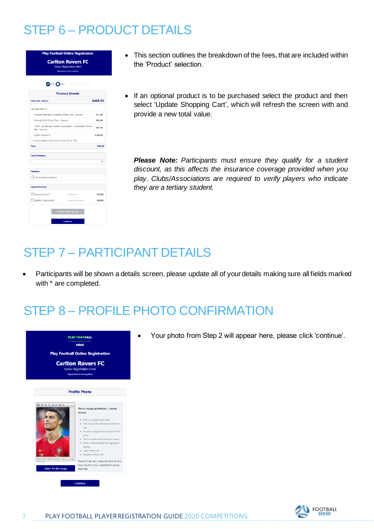# STEP 6 – PRODUCT DETAILS



- This section outlines the breakdown of the fees, that are included within the 'Product' selection.
- If an optional product is to be purchased select the product and then select 'Update Shopping Cart', which will refresh the screen with and provide a new total value.

*Please Note: Participants must ensure they qualify for a student discount, as this affects the insurance coverage provided when you play. Clubs/Associations are required to verify players who indicate they are a tertiary student.*

#### STEP 7 – PARTICIPANT DETAILS

• Participants will be shown a details screen, please update all of your details making sure all fields marked with \* are completed.

#### STEP 8 – PROFILE PHOTO CONFIRMATION



• Your photo from Step 2 will appear here, please click 'continue'.

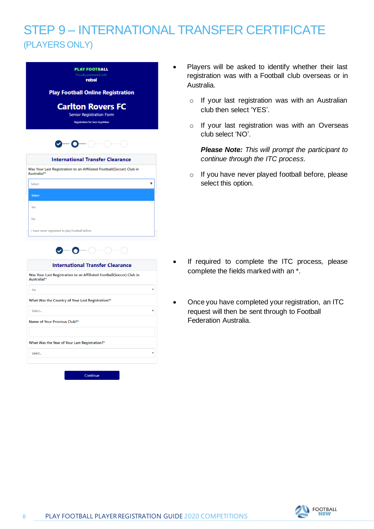#### STEP 9 – INTERNATIONAL TRANSFER CERTIFICATE (PLAYERS ONLY)

| <b>Play Football Online Registration</b><br><b>Carlton Rovers FC</b><br><b>Senior Registration Form</b><br><b>Registration for Sam huynhovo</b><br>0-0-0-0-<br><b>International Transfer Clearance</b><br>▼<br>0—0—⊖—<br><b>International Transfer Clearance</b><br>۳<br>What Was the Country of Your Last Registration?* | Proudly partnered with<br>rebəl                                                                 |
|---------------------------------------------------------------------------------------------------------------------------------------------------------------------------------------------------------------------------------------------------------------------------------------------------------------------------|-------------------------------------------------------------------------------------------------|
|                                                                                                                                                                                                                                                                                                                           |                                                                                                 |
|                                                                                                                                                                                                                                                                                                                           |                                                                                                 |
|                                                                                                                                                                                                                                                                                                                           |                                                                                                 |
|                                                                                                                                                                                                                                                                                                                           |                                                                                                 |
|                                                                                                                                                                                                                                                                                                                           |                                                                                                 |
|                                                                                                                                                                                                                                                                                                                           |                                                                                                 |
|                                                                                                                                                                                                                                                                                                                           | Was Your Last Registration to an Affiliated Football(Soccer) Club in<br>Australia <sup>7*</sup> |
|                                                                                                                                                                                                                                                                                                                           | Select                                                                                          |
|                                                                                                                                                                                                                                                                                                                           | Select                                                                                          |
|                                                                                                                                                                                                                                                                                                                           | <b>Yes</b>                                                                                      |
|                                                                                                                                                                                                                                                                                                                           | Nn                                                                                              |
|                                                                                                                                                                                                                                                                                                                           | I have never registered to play Football before                                                 |
|                                                                                                                                                                                                                                                                                                                           |                                                                                                 |
|                                                                                                                                                                                                                                                                                                                           |                                                                                                 |
|                                                                                                                                                                                                                                                                                                                           |                                                                                                 |
|                                                                                                                                                                                                                                                                                                                           | Was Your Last Registration to an Affiliated Football(Soccer) Club in<br>Australia?*             |
|                                                                                                                                                                                                                                                                                                                           | <b>No</b>                                                                                       |
|                                                                                                                                                                                                                                                                                                                           |                                                                                                 |

- Players will be asked to identify whether their last registration was with a Football club overseas or in Australia.
	- o If your last registration was with an Australian club then select 'YES'.
	- o If your last registration was with an Overseas club select 'NO'.

*Please Note: This will prompt the participant to continue through the ITC process.* 

o If you have never played football before, please select this option.

- If required to complete the ITC process, please complete the fields marked with an \*.
- Once you have completed your registration, an ITC request will then be sent through to Football Federation Australia.



What Was the Year of Your Last Registration?\*

Select...



 $\overline{\mathbf{v}}$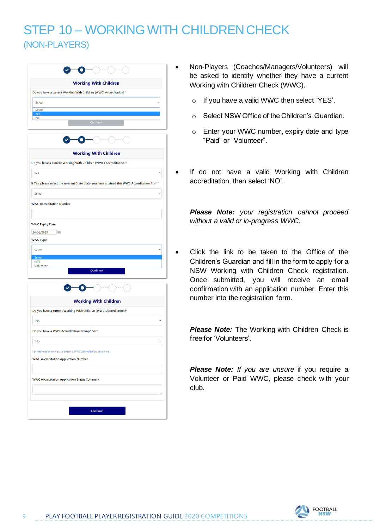#### STEP 10 – WORKING WITH CHILDREN CHECK (NON-PLAYERS)

|                                                         | <b>Working With Children</b>                                                                 |
|---------------------------------------------------------|----------------------------------------------------------------------------------------------|
|                                                         | Do you have a current Working With Children (WWC) Accreditation?*                            |
| Select                                                  | ٧                                                                                            |
| Select                                                  |                                                                                              |
| Yes<br><b>No</b>                                        |                                                                                              |
|                                                         | Continue                                                                                     |
|                                                         |                                                                                              |
|                                                         | <b>Working With Children</b>                                                                 |
|                                                         | Do you have a current Working With Children (WWC) Accreditation?*                            |
| Yes                                                     |                                                                                              |
|                                                         | If Yes, please select the relevant State body you have attained this WWC Accreditation from* |
| Select                                                  |                                                                                              |
| <b>WWC Accreditation Number</b>                         |                                                                                              |
|                                                         |                                                                                              |
|                                                         | 画                                                                                            |
| Select<br>Select<br>Paid<br>Volunteer                   |                                                                                              |
|                                                         | Continue                                                                                     |
|                                                         |                                                                                              |
|                                                         | <b>Working With Children</b>                                                                 |
|                                                         | Do you have a current Working With Children (WWC) Accreditation?*                            |
| No                                                      | ٠                                                                                            |
|                                                         | Do you have a WWC Accreditation exemption?*                                                  |
| <b>No</b>                                               |                                                                                              |
|                                                         | For information on how to obtain a WWC Accreditation, click here.                            |
|                                                         | <b>WWC Accreditation Application Number</b>                                                  |
|                                                         |                                                                                              |
| <b>WWC Expiry Date</b><br>24/01/2019<br><b>WWC Type</b> | <b>WWC Accreditation Application Status Comment</b>                                          |

- Non-Players (Coaches/Managers/Volunteers) will be asked to identify whether they have a current Working with Children Check (WWC).
	- o If you have a valid WWC then select 'YES'.
	- o Select NSW Office of the Children's Guardian.
	- o Enter your WWC number, expiry date and type "Paid" or "Volunteer".
	- If do not have a valid Working with Children accreditation, then select 'NO'.

*Please Note: your registration cannot proceed without a valid or in-progress WWC.* 

Click the link to be taken to the Office of the Children's Guardian and fill in the form to apply for a NSW Working with Children Check registration. Once submitted, you will receive an email confirmation with an application number. Enter this number into the registration form.

**Please Note:** The Working with Children Check is free for 'Volunteers'.

**Please Note:** If you are unsure if you require a Volunteer or Paid WWC, please check with your club.

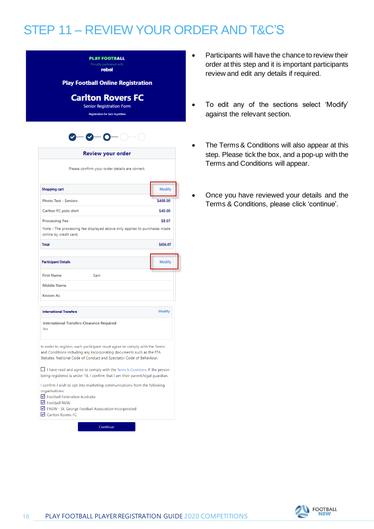#### STEP 11 – REVIEW YOUR ORDER AND T&C'S

| <b>PLAY FOOTBALL</b>   |  |
|------------------------|--|
| Proudly partnered with |  |
| rahal                  |  |

**Play Football Online Registration** 

**Carlton Rovers FC** 

Senior Registration Form **Registration for Sam huyghbag** 



| Review your order |  |
|-------------------|--|
|                   |  |

Please confirm your order details are correct.

| Shopping cart                                            |                                                                                                                                                                                                                           | <b>Modify</b> |
|----------------------------------------------------------|---------------------------------------------------------------------------------------------------------------------------------------------------------------------------------------------------------------------------|---------------|
| <b>Photo Test - Seniors</b>                              |                                                                                                                                                                                                                           | \$408.00      |
| Carlton FC polo shirt                                    |                                                                                                                                                                                                                           | \$40.00       |
| <b>Processing Fee</b>                                    |                                                                                                                                                                                                                           | \$8.07        |
| online by credit card.                                   | Note - The processing fee displayed above only applies to purchases made                                                                                                                                                  |               |
| <b>Total</b>                                             |                                                                                                                                                                                                                           | \$456.07      |
| <b>Participant Details</b>                               |                                                                                                                                                                                                                           | <b>Modify</b> |
| <b>First Name</b>                                        | Sam                                                                                                                                                                                                                       |               |
| <b>Middle Name</b>                                       |                                                                                                                                                                                                                           |               |
| <b>Known As</b>                                          |                                                                                                                                                                                                                           |               |
| <b>International Transfers</b>                           |                                                                                                                                                                                                                           | <b>Modify</b> |
| <b>International Transfers Clearance Required</b><br>Yes |                                                                                                                                                                                                                           |               |
|                                                          | In order to register, each participant must agree to comply with the Terms<br>and Conditions including any incorporating documents such as the FFA<br>Statutes, National Code of Conduct and Spectator Code of Behaviour. |               |
|                                                          | $\Box$ I have read and agree to comply with the Terms & Conditions. If the person<br>being registered is under 18, I confirm that I am their parent/legal guardian.                                                       |               |
| organisations:                                           | I confirm I wish to opt into marketing communications from the following                                                                                                                                                  |               |
| ☑ Football Federation Australia<br>$\nabla$ Football NSW |                                                                                                                                                                                                                           |               |
|                                                          | FNSW - St. George Football Association Incorporated                                                                                                                                                                       |               |

Carlton Rovers FC

Continue

- Participants will have the chance to review their order at this step and it is important participants review and edit any details if required.
- To edit any of the sections select 'Modify' against the relevant section.
- The Terms & Conditions will also appear at this step. Please tick the box, and a pop-up with the Terms and Conditions will appear.
- Once you have reviewed your details and the Terms & Conditions, please click 'continue'.

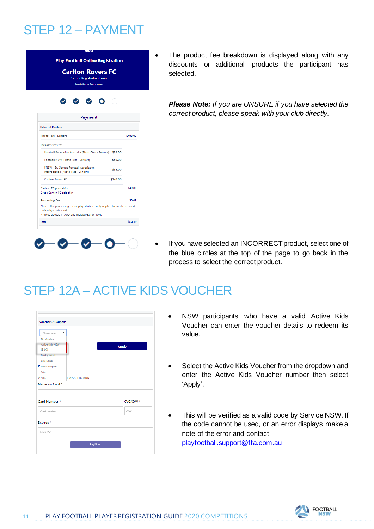#### STEP 12 – PAYMENT

| <b>Carlton Rovers FC</b><br><b>Senior Registration Form</b><br><b>Registration for Sam huynhowo</b>                                                  |          |          |
|------------------------------------------------------------------------------------------------------------------------------------------------------|----------|----------|
| ∞−                                                                                                                                                   |          |          |
| Payment                                                                                                                                              |          |          |
| <b>Details of Purchase</b>                                                                                                                           |          |          |
| <b>Photo Test - Seniors</b>                                                                                                                          |          | \$408.00 |
| Includes fees to:                                                                                                                                    |          |          |
| Football Federation Australia (Photo Test - Seniors) \$33.00                                                                                         |          |          |
| Football NSW (Photo Test - Seniors)                                                                                                                  | \$50.00  |          |
| FNSW - St. George Football Association<br>Incorporated (Photo Test - Seniors)                                                                        | \$85.00  |          |
| Carlton Rovers FC                                                                                                                                    | \$240.00 |          |
| Carlton FC polo shirt<br>Green Carlton FC polo shirt                                                                                                 |          | \$40.00  |
| <b>Processing Fee</b>                                                                                                                                |          | \$8.07   |
| Note - The processing fee displayed above only applies to purchases made<br>online by credit card.<br>* Prices quoted in AUD and include GST of 10%. |          |          |
| <b>Total</b>                                                                                                                                         |          | \$456.07 |

The product fee breakdown is displayed along with any discounts or additional products the participant has selected.

*Please Note: If you are UNSURE if you have selected the correct product, please speak with your club directly.*

If you have selected an INCORRECT product, select one of the blue circles at the top of the page to go back in the process to select the correct product.

#### STEP 12A – ACTIVE KIDS VOUCHER

| Please Select     | $\;$                |              |
|-------------------|---------------------|--------------|
| No Voucher        |                     |              |
| Active Kids NSW   |                     | <b>Apply</b> |
| (5100)            |                     |              |
| Marky's Meats     |                     |              |
| <b>Jims Meats</b> |                     |              |
| P Pete's coupon   |                     |              |
| 50%               |                     |              |
| V sos             | <b>B MASTERCARD</b> |              |
| Name on Card *    |                     |              |
|                   |                     |              |
|                   |                     |              |
| Card Number *     |                     | CVC/CVV *    |
| Card number       |                     | CVV          |
| Expires *         |                     |              |
|                   |                     |              |

- NSW participants who have a valid Active Kids Voucher can enter the voucher details to redeem its value.
- Select the Active Kids Voucher from the dropdown and enter the Active Kids Voucher number then select 'Apply'.
- This will be verified as a valid code by Service NSW. If the code cannot be used, or an error displays make a note of the error and contact – [playfootball.support@ffa.com.au](mailto:playfootball.support@ffa.com.au)

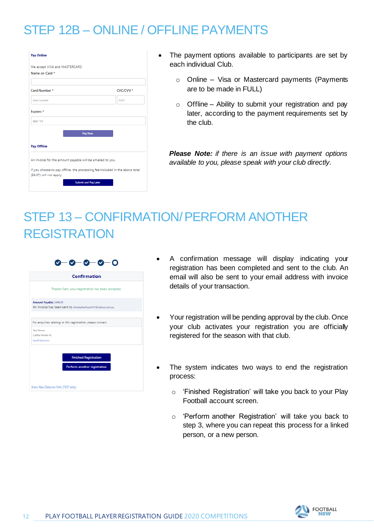# STEP 12B – ONLINE / OFFLINE PAYMENTS

| We accept VISA and MASTERCARD                             |                                                                              |
|-----------------------------------------------------------|------------------------------------------------------------------------------|
| Name on Card *                                            |                                                                              |
| Card Number*                                              | CVC/CVV *                                                                    |
| Card number                                               | CVV                                                                          |
| Expires*                                                  |                                                                              |
| MM / YY                                                   |                                                                              |
|                                                           | Pay Now                                                                      |
| <b>Pay Offline</b>                                        |                                                                              |
| An invoice for the amount payable will be emailed to you. |                                                                              |
| (\$8.07) will not apply.                                  | If you choose to pay offline, the processing fee included in the above total |
|                                                           |                                                                              |

- The payment options available to participants are set by each individual Club.
	- o Online Visa or Mastercard payments (Payments are to be made in FULL)
	- $\circ$  Offline Ability to submit your registration and pay later, according to the payment requirements set by the club.

*Please Note: if there is an issue with payment options available to you, please speak with your club directly.*

# STEP 13 – CONFIRMATION/ PERFORM ANOTHER REGISTRATION

|                                                          | Confirmation                                                 |
|----------------------------------------------------------|--------------------------------------------------------------|
|                                                          | Thanks Sam, your registration has been accepted.             |
| Amount Payable: \$448.00                                 | An invoice has been sent to christopherhuynh15@yahoo.com.au. |
|                                                          |                                                              |
|                                                          |                                                              |
|                                                          |                                                              |
|                                                          | For enquiries relating to this registration, please contact: |
|                                                          |                                                              |
| <b>Test Person</b><br>Carlton Rowers FC<br>test@test.com |                                                              |
|                                                          |                                                              |
|                                                          | <b>Finished Registration</b>                                 |
|                                                          | Perform another registration                                 |

- A confirmation message will display indicating your registration has been completed and sent to the club. An email will also be sent to your email address with invoice details of your transaction.
- Your registration will be pending approval by the club. Once your club activates your registration you are officially registered for the season with that club.
- The system indicates two ways to end the registration process:
	- o 'Finished Registration' will take you back to your Play Football account screen.
	- o 'Perform another Registration' will take you back to step 3, where you can repeat this process for a linked person, or a new person.